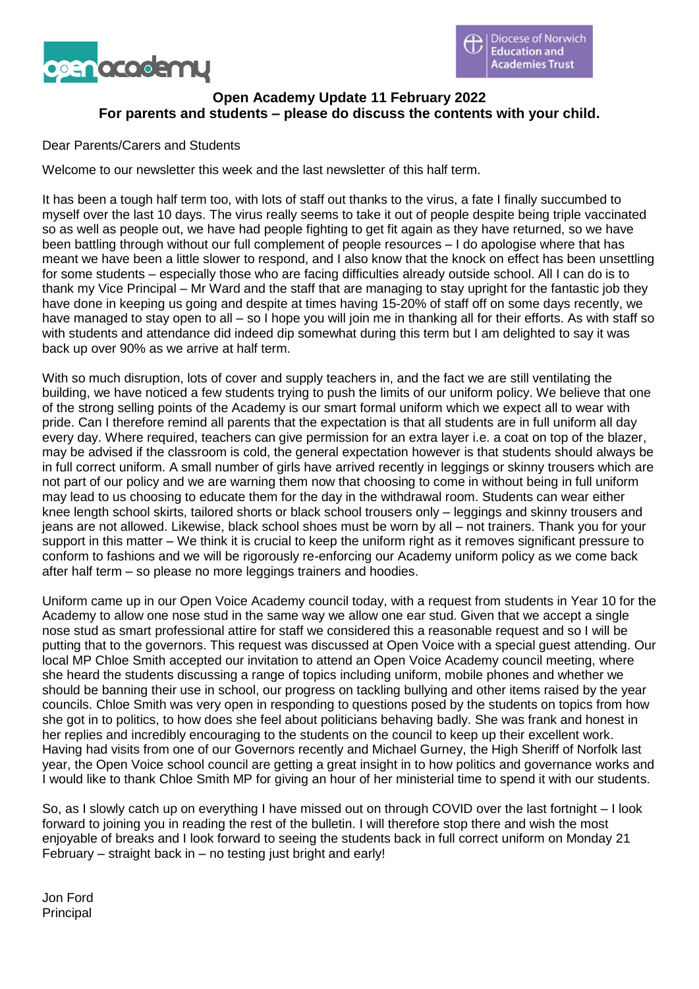



# **Open Academy Update 11 February 2022 For parents and students – please do discuss the contents with your child.**

### Dear Parents/Carers and Students

Welcome to our newsletter this week and the last newsletter of this half term.

It has been a tough half term too, with lots of staff out thanks to the virus, a fate I finally succumbed to myself over the last 10 days. The virus really seems to take it out of people despite being triple vaccinated so as well as people out, we have had people fighting to get fit again as they have returned, so we have been battling through without our full complement of people resources – I do apologise where that has meant we have been a little slower to respond, and I also know that the knock on effect has been unsettling for some students – especially those who are facing difficulties already outside school. All I can do is to thank my Vice Principal – Mr Ward and the staff that are managing to stay upright for the fantastic job they have done in keeping us going and despite at times having 15-20% of staff off on some days recently, we have managed to stay open to all – so I hope you will join me in thanking all for their efforts. As with staff so with students and attendance did indeed dip somewhat during this term but I am delighted to say it was back up over 90% as we arrive at half term.

With so much disruption, lots of cover and supply teachers in, and the fact we are still ventilating the building, we have noticed a few students trying to push the limits of our uniform policy. We believe that one of the strong selling points of the Academy is our smart formal uniform which we expect all to wear with pride. Can I therefore remind all parents that the expectation is that all students are in full uniform all day every day. Where required, teachers can give permission for an extra layer i.e. a coat on top of the blazer, may be advised if the classroom is cold, the general expectation however is that students should always be in full correct uniform. A small number of girls have arrived recently in leggings or skinny trousers which are not part of our policy and we are warning them now that choosing to come in without being in full uniform may lead to us choosing to educate them for the day in the withdrawal room. Students can wear either knee length school skirts, tailored shorts or black school trousers only – leggings and skinny trousers and jeans are not allowed. Likewise, black school shoes must be worn by all – not trainers. Thank you for your support in this matter – We think it is crucial to keep the uniform right as it removes significant pressure to conform to fashions and we will be rigorously re-enforcing our Academy uniform policy as we come back after half term – so please no more leggings trainers and hoodies.

Uniform came up in our Open Voice Academy council today, with a request from students in Year 10 for the Academy to allow one nose stud in the same way we allow one ear stud. Given that we accept a single nose stud as smart professional attire for staff we considered this a reasonable request and so I will be putting that to the governors. This request was discussed at Open Voice with a special guest attending. Our local MP Chloe Smith accepted our invitation to attend an Open Voice Academy council meeting, where she heard the students discussing a range of topics including uniform, mobile phones and whether we should be banning their use in school, our progress on tackling bullying and other items raised by the year councils. Chloe Smith was very open in responding to questions posed by the students on topics from how she got in to politics, to how does she feel about politicians behaving badly. She was frank and honest in her replies and incredibly encouraging to the students on the council to keep up their excellent work. Having had visits from one of our Governors recently and Michael Gurney, the High Sheriff of Norfolk last year, the Open Voice school council are getting a great insight in to how politics and governance works and I would like to thank Chloe Smith MP for giving an hour of her ministerial time to spend it with our students.

So, as I slowly catch up on everything I have missed out on through COVID over the last fortnight – I look forward to joining you in reading the rest of the bulletin. I will therefore stop there and wish the most enjoyable of breaks and I look forward to seeing the students back in full correct uniform on Monday 21 February – straight back in – no testing just bright and early!

Jon Ford Principal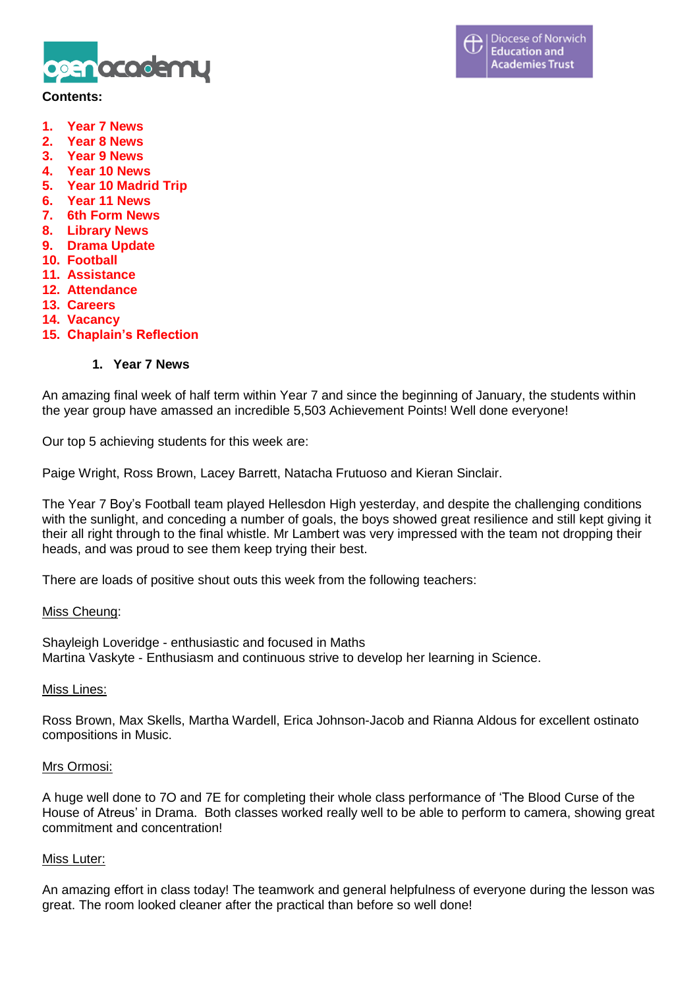

### **Contents:**

- **1. Year 7 News**
- **2. Year 8 News**
- **3. Year 9 News**
- **4. Year 10 News**
- **5. Year 10 Madrid Trip**
- **6. Year 11 News**
- **7. 6th Form News**
- **8. Library News**
- **9. Drama Update**
- **10. Football**
- **11. Assistance**
- **12. Attendance**
- **13. Careers**
- **14. Vacancy**
- **15. Chaplain's Reflection**

### **1. Year 7 News**

An amazing final week of half term within Year 7 and since the beginning of January, the students within the year group have amassed an incredible 5,503 Achievement Points! Well done everyone!

Our top 5 achieving students for this week are:

Paige Wright, Ross Brown, Lacey Barrett, Natacha Frutuoso and Kieran Sinclair.

The Year 7 Boy's Football team played Hellesdon High yesterday, and despite the challenging conditions with the sunlight, and conceding a number of goals, the boys showed great resilience and still kept giving it their all right through to the final whistle. Mr Lambert was very impressed with the team not dropping their heads, and was proud to see them keep trying their best.

There are loads of positive shout outs this week from the following teachers:

#### Miss Cheung:

Shayleigh Loveridge - enthusiastic and focused in Maths Martina Vaskyte - Enthusiasm and continuous strive to develop her learning in Science.

#### Miss Lines:

Ross Brown, Max Skells, Martha Wardell, Erica Johnson-Jacob and Rianna Aldous for excellent ostinato compositions in Music.

#### Mrs Ormosi:

A huge well done to 7O and 7E for completing their whole class performance of 'The Blood Curse of the House of Atreus' in Drama. Both classes worked really well to be able to perform to camera, showing great commitment and concentration!

#### Miss Luter:

An amazing effort in class today! The teamwork and general helpfulness of everyone during the lesson was great. The room looked cleaner after the practical than before so well done!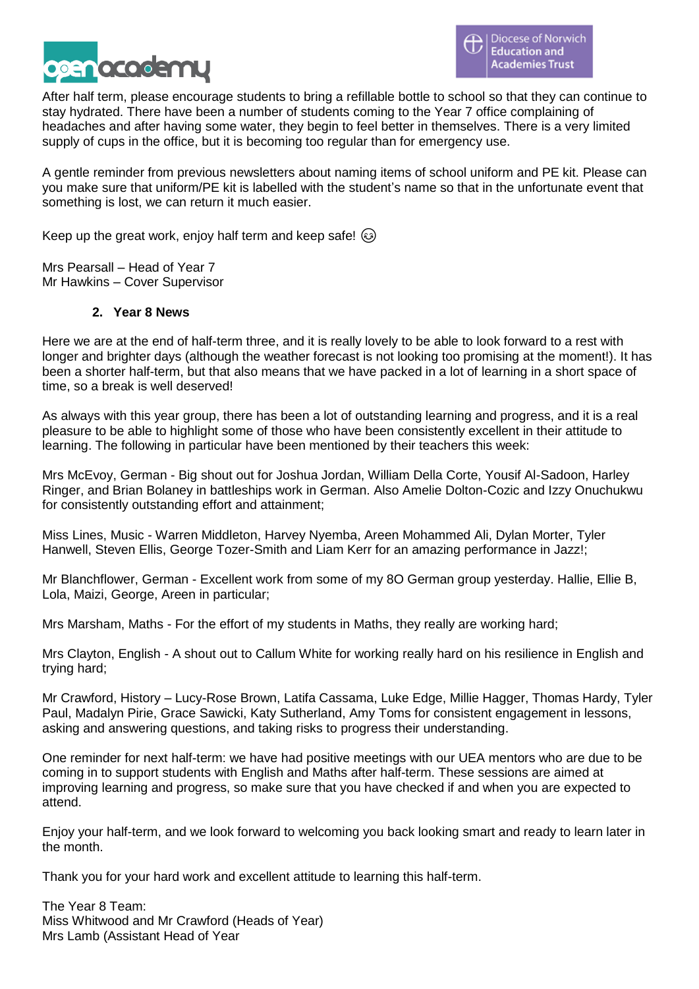

After half term, please encourage students to bring a refillable bottle to school so that they can continue to stay hydrated. There have been a number of students coming to the Year 7 office complaining of headaches and after having some water, they begin to feel better in themselves. There is a very limited supply of cups in the office, but it is becoming too regular than for emergency use.

A gentle reminder from previous newsletters about naming items of school uniform and PE kit. Please can you make sure that uniform/PE kit is labelled with the student's name so that in the unfortunate event that something is lost, we can return it much easier.

Keep up the great work, enjoy half term and keep safe!  $\circled{e}$ 

Mrs Pearsall – Head of Year 7 Mr Hawkins – Cover Supervisor

### **2. Year 8 News**

Here we are at the end of half-term three, and it is really lovely to be able to look forward to a rest with longer and brighter days (although the weather forecast is not looking too promising at the moment!). It has been a shorter half-term, but that also means that we have packed in a lot of learning in a short space of time, so a break is well deserved!

As always with this year group, there has been a lot of outstanding learning and progress, and it is a real pleasure to be able to highlight some of those who have been consistently excellent in their attitude to learning. The following in particular have been mentioned by their teachers this week:

Mrs McEvoy, German - Big shout out for Joshua Jordan, William Della Corte, Yousif Al-Sadoon, Harley Ringer, and Brian Bolaney in battleships work in German. Also Amelie Dolton-Cozic and Izzy Onuchukwu for consistently outstanding effort and attainment;

Miss Lines, Music - Warren Middleton, Harvey Nyemba, Areen Mohammed Ali, Dylan Morter, Tyler Hanwell, Steven Ellis, George Tozer-Smith and Liam Kerr for an amazing performance in Jazz!;

Mr Blanchflower, German - Excellent work from some of my 8O German group yesterday. Hallie, Ellie B, Lola, Maizi, George, Areen in particular;

Mrs Marsham, Maths - For the effort of my students in Maths, they really are working hard;

Mrs Clayton, English - A shout out to Callum White for working really hard on his resilience in English and trying hard;

Mr Crawford, History – Lucy-Rose Brown, Latifa Cassama, Luke Edge, Millie Hagger, Thomas Hardy, Tyler Paul, Madalyn Pirie, Grace Sawicki, Katy Sutherland, Amy Toms for consistent engagement in lessons, asking and answering questions, and taking risks to progress their understanding.

One reminder for next half-term: we have had positive meetings with our UEA mentors who are due to be coming in to support students with English and Maths after half-term. These sessions are aimed at improving learning and progress, so make sure that you have checked if and when you are expected to attend.

Enjoy your half-term, and we look forward to welcoming you back looking smart and ready to learn later in the month.

Thank you for your hard work and excellent attitude to learning this half-term.

The Year 8 Team: Miss Whitwood and Mr Crawford (Heads of Year) Mrs Lamb (Assistant Head of Year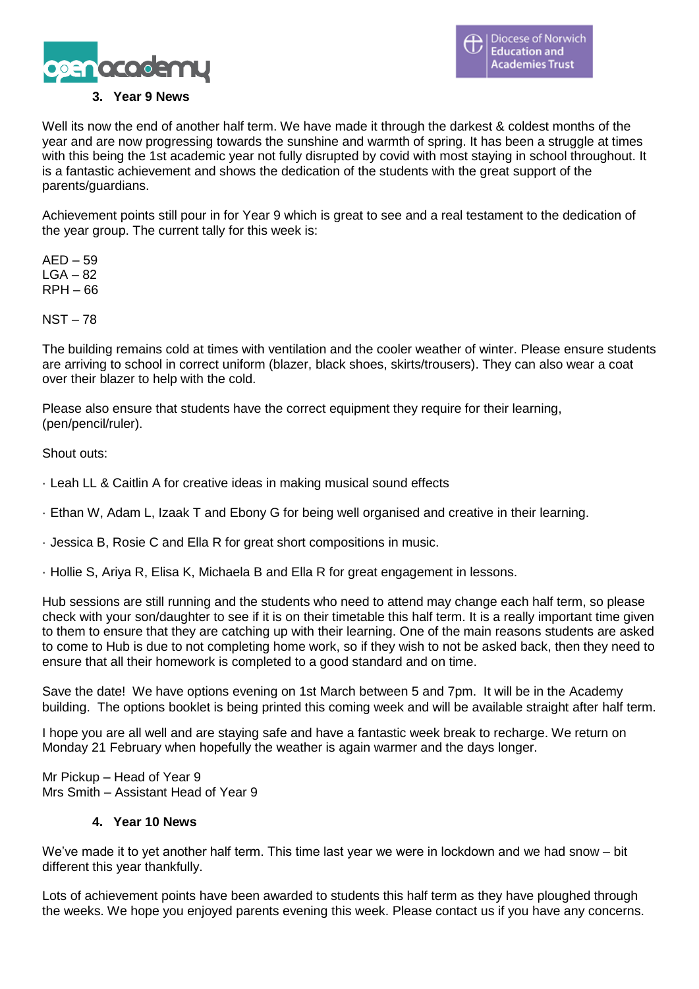

### **3. Year 9 News**

Well its now the end of another half term. We have made it through the darkest & coldest months of the year and are now progressing towards the sunshine and warmth of spring. It has been a struggle at times with this being the 1st academic year not fully disrupted by covid with most staying in school throughout. It is a fantastic achievement and shows the dedication of the students with the great support of the parents/guardians.

Achievement points still pour in for Year 9 which is great to see and a real testament to the dedication of the year group. The current tally for this week is:

 $AED - 59$  $LGA - 82$ RPH – 66

NST – 78

The building remains cold at times with ventilation and the cooler weather of winter. Please ensure students are arriving to school in correct uniform (blazer, black shoes, skirts/trousers). They can also wear a coat over their blazer to help with the cold.

Please also ensure that students have the correct equipment they require for their learning, (pen/pencil/ruler).

Shout outs:

- · Leah LL & Caitlin A for creative ideas in making musical sound effects
- · Ethan W, Adam L, Izaak T and Ebony G for being well organised and creative in their learning.
- · Jessica B, Rosie C and Ella R for great short compositions in music.
- · Hollie S, Ariya R, Elisa K, Michaela B and Ella R for great engagement in lessons.

Hub sessions are still running and the students who need to attend may change each half term, so please check with your son/daughter to see if it is on their timetable this half term. It is a really important time given to them to ensure that they are catching up with their learning. One of the main reasons students are asked to come to Hub is due to not completing home work, so if they wish to not be asked back, then they need to ensure that all their homework is completed to a good standard and on time.

Save the date! We have options evening on 1st March between 5 and 7pm. It will be in the Academy building. The options booklet is being printed this coming week and will be available straight after half term.

I hope you are all well and are staying safe and have a fantastic week break to recharge. We return on Monday 21 February when hopefully the weather is again warmer and the days longer.

Mr Pickup – Head of Year 9 Mrs Smith – Assistant Head of Year 9

### **4. Year 10 News**

We've made it to yet another half term. This time last year we were in lockdown and we had snow – bit different this year thankfully.

Lots of achievement points have been awarded to students this half term as they have ploughed through the weeks. We hope you enjoyed parents evening this week. Please contact us if you have any concerns.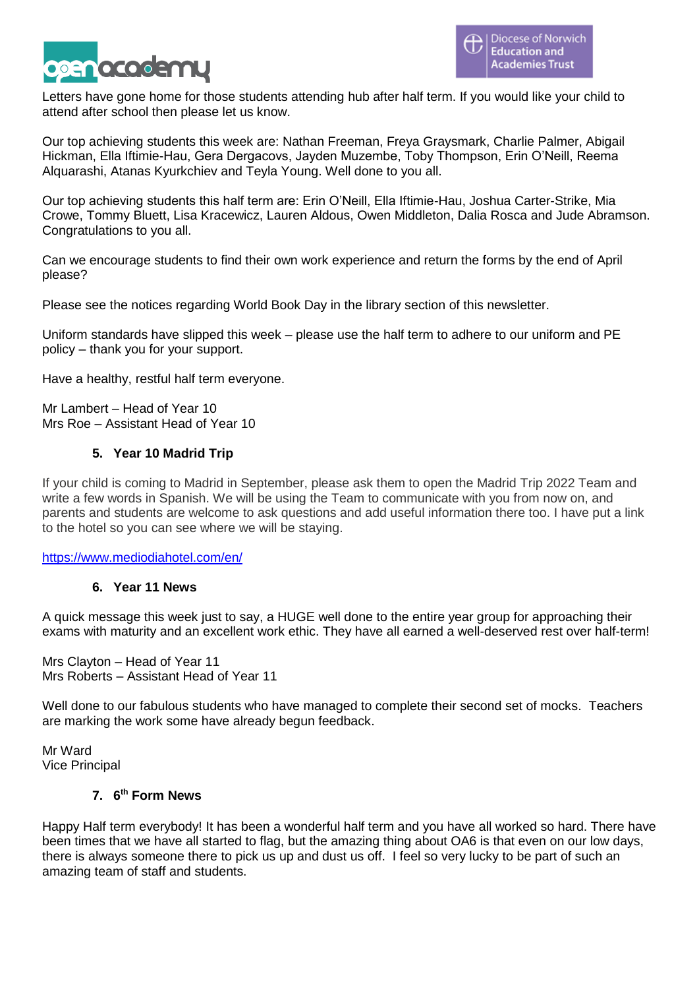

Letters have gone home for those students attending hub after half term. If you would like your child to attend after school then please let us know.

Our top achieving students this week are: Nathan Freeman, Freya Graysmark, Charlie Palmer, Abigail Hickman, Ella Iftimie-Hau, Gera Dergacovs, Jayden Muzembe, Toby Thompson, Erin O'Neill, Reema Alquarashi, Atanas Kyurkchiev and Teyla Young. Well done to you all.

Our top achieving students this half term are: Erin O'Neill, Ella Iftimie-Hau, Joshua Carter-Strike, Mia Crowe, Tommy Bluett, Lisa Kracewicz, Lauren Aldous, Owen Middleton, Dalia Rosca and Jude Abramson. Congratulations to you all.

Can we encourage students to find their own work experience and return the forms by the end of April please?

Please see the notices regarding World Book Day in the library section of this newsletter.

Uniform standards have slipped this week – please use the half term to adhere to our uniform and PE policy – thank you for your support.

Have a healthy, restful half term everyone.

Mr Lambert – Head of Year 10 Mrs Roe – Assistant Head of Year 10

# **5. Year 10 Madrid Trip**

If your child is coming to Madrid in September, please ask them to open the Madrid Trip 2022 Team and write a few words in Spanish. We will be using the Team to communicate with you from now on, and parents and students are welcome to ask questions and add useful information there too. I have put a link to the hotel so you can see where we will be staying.

<https://www.mediodiahotel.com/en/>

### **6. Year 11 News**

A quick message this week just to say, a HUGE well done to the entire year group for approaching their exams with maturity and an excellent work ethic. They have all earned a well-deserved rest over half-term!

Mrs Clayton – Head of Year 11 Mrs Roberts – Assistant Head of Year 11

Well done to our fabulous students who have managed to complete their second set of mocks. Teachers are marking the work some have already begun feedback.

Mr Ward Vice Principal

#### **7. 6 th Form News**

Happy Half term everybody! It has been a wonderful half term and you have all worked so hard. There have been times that we have all started to flag, but the amazing thing about OA6 is that even on our low days, there is always someone there to pick us up and dust us off. I feel so very lucky to be part of such an amazing team of staff and students.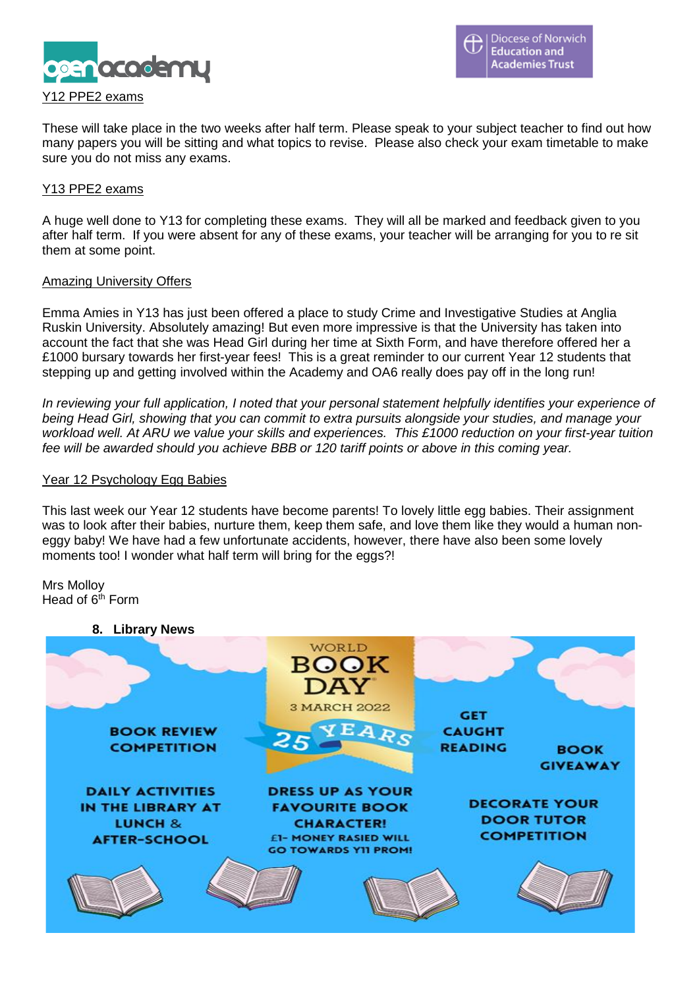

These will take place in the two weeks after half term. Please speak to your subject teacher to find out how many papers you will be sitting and what topics to revise. Please also check your exam timetable to make sure you do not miss any exams.

#### Y13 PPE2 exams

A huge well done to Y13 for completing these exams. They will all be marked and feedback given to you after half term. If you were absent for any of these exams, your teacher will be arranging for you to re sit them at some point.

#### Amazing University Offers

Emma Amies in Y13 has just been offered a place to study Crime and Investigative Studies at Anglia Ruskin University. Absolutely amazing! But even more impressive is that the University has taken into account the fact that she was Head Girl during her time at Sixth Form, and have therefore offered her a £1000 bursary towards her first-year fees! This is a great reminder to our current Year 12 students that stepping up and getting involved within the Academy and OA6 really does pay off in the long run!

*In reviewing your full application, I noted that your personal statement helpfully identifies your experience of being Head Girl, showing that you can commit to extra pursuits alongside your studies, and manage your workload well. At ARU we value your skills and experiences. This £1000 reduction on your first-year tuition fee will be awarded should you achieve BBB or 120 tariff points or above in this coming year.*

#### Year 12 Psychology Egg Babies

This last week our Year 12 students have become parents! To lovely little egg babies. Their assignment was to look after their babies, nurture them, keep them safe, and love them like they would a human noneggy baby! We have had a few unfortunate accidents, however, there have also been some lovely moments too! I wonder what half term will bring for the eggs?!

Mrs Molloy Head of  $6<sup>th</sup>$  Form

#### **8. Library News**

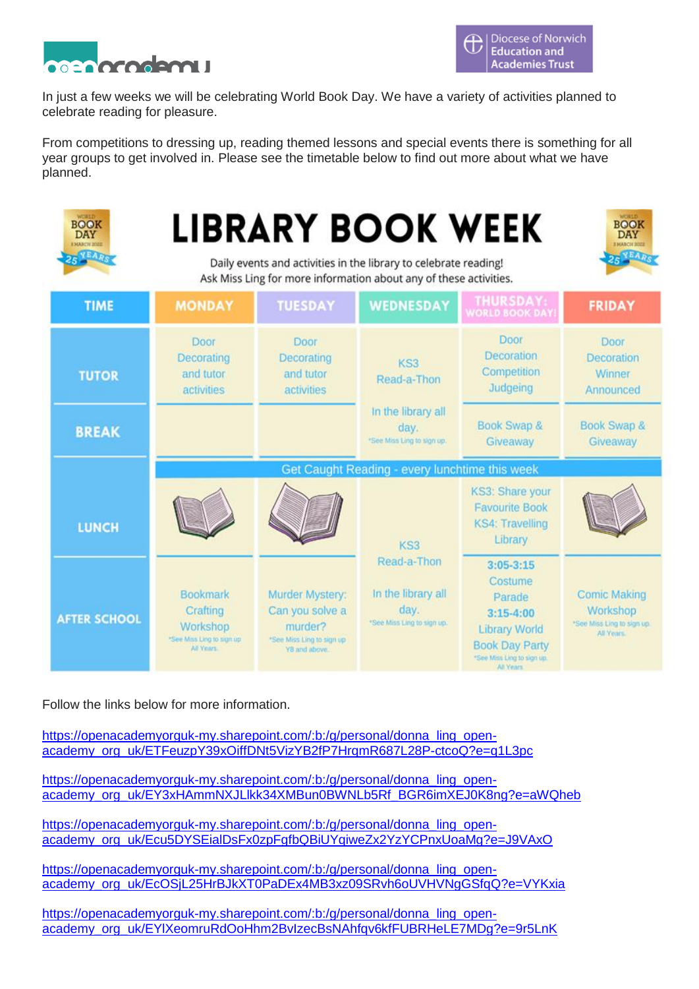

In just a few weeks we will be celebrating World Book Day. We have a variety of activities planned to celebrate reading for pleasure.

From competitions to dressing up, reading themed lessons and special events there is something for all year groups to get involved in. Please see the timetable below to find out more about what we have planned.

| BOOK<br><b>DAY</b><br><b>EMARCH 2022</b> | BOOK<br><b>LIBRARY BOOK WEEK</b><br><b>DAY</b><br><b>EMARCH 2022</b><br>Daily events and activities in the library to celebrate reading!<br>Ask Miss Ling for more information about any of these activities. |                                                                                             |                                                                         |                                                                                                                                                 |                                                                             |  |
|------------------------------------------|---------------------------------------------------------------------------------------------------------------------------------------------------------------------------------------------------------------|---------------------------------------------------------------------------------------------|-------------------------------------------------------------------------|-------------------------------------------------------------------------------------------------------------------------------------------------|-----------------------------------------------------------------------------|--|
| <b>TIME</b>                              | <b>MONDAY</b>                                                                                                                                                                                                 | <b>TUESDAY</b>                                                                              | <b>WEDNESDAY</b>                                                        | <b>THURSDAY:</b><br>WORLD BOOK DAY                                                                                                              | <b>FRIDAY</b>                                                               |  |
| <b>TUTOR</b>                             | Door<br>Decorating<br>and tutor.<br>activities                                                                                                                                                                | <b>Door</b><br>Decorating<br>and tutor<br>activities                                        | KS3<br>Read-a-Thon                                                      | Door<br>Decoration<br>Competition<br>Judgeing                                                                                                   | Door<br>Decoration<br>Winner<br>Announced                                   |  |
| <b>BREAK</b>                             |                                                                                                                                                                                                               |                                                                                             | In the library all.<br>day.<br>*See Miss Ling to sign up.               | Book Swap &<br>Giveaway                                                                                                                         | Book Swap &<br>Giveaway                                                     |  |
|                                          | <b>Get Caught Reading</b><br>every lunchtime this week                                                                                                                                                        |                                                                                             |                                                                         |                                                                                                                                                 |                                                                             |  |
| <b>LUNCH</b>                             |                                                                                                                                                                                                               |                                                                                             | KS3                                                                     | KS3: Share your<br><b>Favourite Book</b><br><b>KS4: Travelling</b><br>Library                                                                   |                                                                             |  |
| <b>AFTER SCHOOL</b>                      | Bookmark<br>Crafting<br>Workshop<br>"See Miss Ling to sign up<br>All Vents.                                                                                                                                   | Murder Mystery:<br>Can you solve a<br>murder?<br>*See Miss Ling to sign up<br>Y8 and above. | Read-a-Thon<br>In the library all<br>day.<br>*See Miss Ling to sign up. | $3:05 - 3:15$<br>Costume<br>Parade<br>$3:15 - 4:00$<br><b>Library World</b><br><b>Book Day Party</b><br>*See Miss Ling to sign up.<br>All Years | <b>Comic Making</b><br>Workshop<br>*See Miss Ling to sign up.<br>All Years. |  |

Follow the links below for more information.

[https://openacademyorguk-my.sharepoint.com/:b:/g/personal/donna\\_ling\\_open](https://openacademyorguk-my.sharepoint.com/:b:/g/personal/donna_ling_open-academy_org_uk/ETFeuzpY39xOiffDNt5VizYB2fP7HrqmR687L28P-ctcoQ?e=q1L3pc)[academy\\_org\\_uk/ETFeuzpY39xOiffDNt5VizYB2fP7HrqmR687L28P-ctcoQ?e=q1L3pc](https://openacademyorguk-my.sharepoint.com/:b:/g/personal/donna_ling_open-academy_org_uk/ETFeuzpY39xOiffDNt5VizYB2fP7HrqmR687L28P-ctcoQ?e=q1L3pc)

[https://openacademyorguk-my.sharepoint.com/:b:/g/personal/donna\\_ling\\_open](https://openacademyorguk-my.sharepoint.com/:b:/g/personal/donna_ling_open-academy_org_uk/EY3xHAmmNXJLlkk34XMBun0BWNLb5Rf_BGR6imXEJ0K8ng?e=aWQheb)[academy\\_org\\_uk/EY3xHAmmNXJLlkk34XMBun0BWNLb5Rf\\_BGR6imXEJ0K8ng?e=aWQheb](https://openacademyorguk-my.sharepoint.com/:b:/g/personal/donna_ling_open-academy_org_uk/EY3xHAmmNXJLlkk34XMBun0BWNLb5Rf_BGR6imXEJ0K8ng?e=aWQheb)

[https://openacademyorguk-my.sharepoint.com/:b:/g/personal/donna\\_ling\\_open](https://openacademyorguk-my.sharepoint.com/:b:/g/personal/donna_ling_open-academy_org_uk/Ecu5DYSEialDsFx0zpFgfbQBiUYqiweZx2YzYCPnxUoaMg?e=J9VAxO)[academy\\_org\\_uk/Ecu5DYSEialDsFx0zpFgfbQBiUYqiweZx2YzYCPnxUoaMg?e=J9VAxO](https://openacademyorguk-my.sharepoint.com/:b:/g/personal/donna_ling_open-academy_org_uk/Ecu5DYSEialDsFx0zpFgfbQBiUYqiweZx2YzYCPnxUoaMg?e=J9VAxO)

[https://openacademyorguk-my.sharepoint.com/:b:/g/personal/donna\\_ling\\_open](https://openacademyorguk-my.sharepoint.com/:b:/g/personal/donna_ling_open-academy_org_uk/EcOSjL25HrBJkXT0PaDEx4MB3xz09SRvh6oUVHVNgGSfqQ?e=VYKxia)academy\_org\_uk/EcOSiL25HrBJkXT0PaDEx4MB3xz09SRvh6oUVHVNgGSfqQ?e=VYKxia

[https://openacademyorguk-my.sharepoint.com/:b:/g/personal/donna\\_ling\\_open](https://openacademyorguk-my.sharepoint.com/:b:/g/personal/donna_ling_open-academy_org_uk/EYlXeomruRdOoHhm2BvIzecBsNAhfqv6kfFUBRHeLE7MDg?e=9r5LnK)[academy\\_org\\_uk/EYlXeomruRdOoHhm2BvIzecBsNAhfqv6kfFUBRHeLE7MDg?e=9r5LnK](https://openacademyorguk-my.sharepoint.com/:b:/g/personal/donna_ling_open-academy_org_uk/EYlXeomruRdOoHhm2BvIzecBsNAhfqv6kfFUBRHeLE7MDg?e=9r5LnK)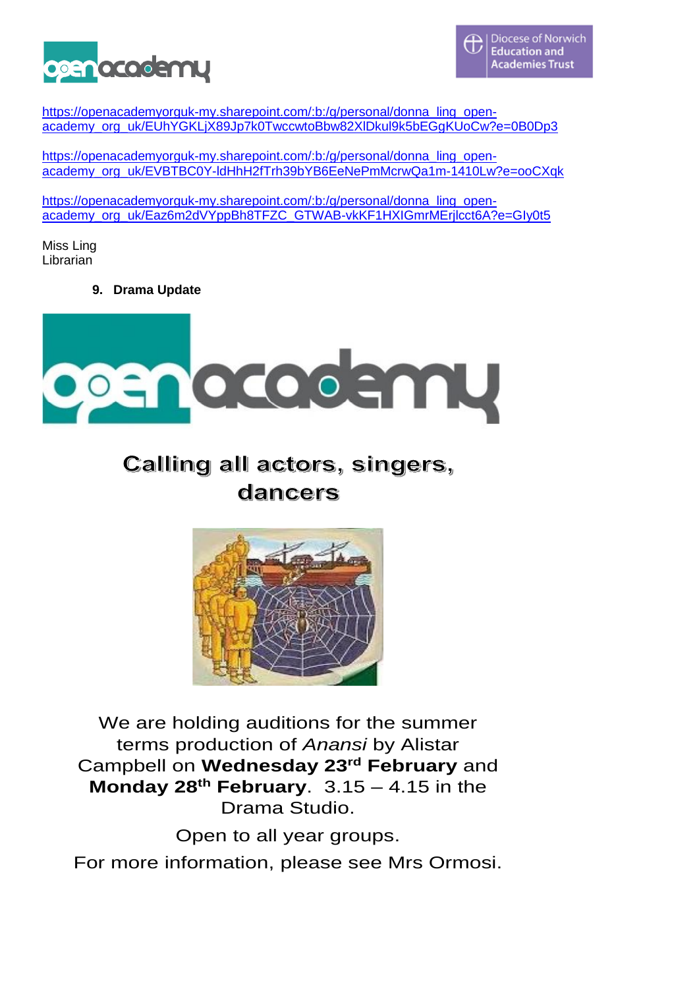

[https://openacademyorguk-my.sharepoint.com/:b:/g/personal/donna\\_ling\\_open](https://openacademyorguk-my.sharepoint.com/:b:/g/personal/donna_ling_open-academy_org_uk/EUhYGKLjX89Jp7k0TwccwtoBbw82XlDkul9k5bEGgKUoCw?e=0B0Dp3)[academy\\_org\\_uk/EUhYGKLjX89Jp7k0TwccwtoBbw82XlDkul9k5bEGgKUoCw?e=0B0Dp3](https://openacademyorguk-my.sharepoint.com/:b:/g/personal/donna_ling_open-academy_org_uk/EUhYGKLjX89Jp7k0TwccwtoBbw82XlDkul9k5bEGgKUoCw?e=0B0Dp3)

[https://openacademyorguk-my.sharepoint.com/:b:/g/personal/donna\\_ling\\_open](https://openacademyorguk-my.sharepoint.com/:b:/g/personal/donna_ling_open-academy_org_uk/EVBTBC0Y-ldHhH2fTrh39bYB6EeNePmMcrwQa1m-1410Lw?e=ooCXqk)[academy\\_org\\_uk/EVBTBC0Y-ldHhH2fTrh39bYB6EeNePmMcrwQa1m-1410Lw?e=ooCXqk](https://openacademyorguk-my.sharepoint.com/:b:/g/personal/donna_ling_open-academy_org_uk/EVBTBC0Y-ldHhH2fTrh39bYB6EeNePmMcrwQa1m-1410Lw?e=ooCXqk)

[https://openacademyorguk-my.sharepoint.com/:b:/g/personal/donna\\_ling\\_open](https://openacademyorguk-my.sharepoint.com/:b:/g/personal/donna_ling_open-academy_org_uk/Eaz6m2dVYppBh8TFZC_GTWAB-vkKF1HXIGmrMErjlcct6A?e=GIy0t5)[academy\\_org\\_uk/Eaz6m2dVYppBh8TFZC\\_GTWAB-vkKF1HXIGmrMErjlcct6A?e=GIy0t5](https://openacademyorguk-my.sharepoint.com/:b:/g/personal/donna_ling_open-academy_org_uk/Eaz6m2dVYppBh8TFZC_GTWAB-vkKF1HXIGmrMErjlcct6A?e=GIy0t5)

Miss Ling Librarian

**9. Drama Update**



Calling all actors, singers, dancers



We are holding auditions for the summer terms production of *Anansi* by Alistar Campbell on **Wednesday 23rd February** and **Monday 28th February**. 3.15 – 4.15 in the Drama Studio.

Open to all year groups.

For more information, please see Mrs Ormosi.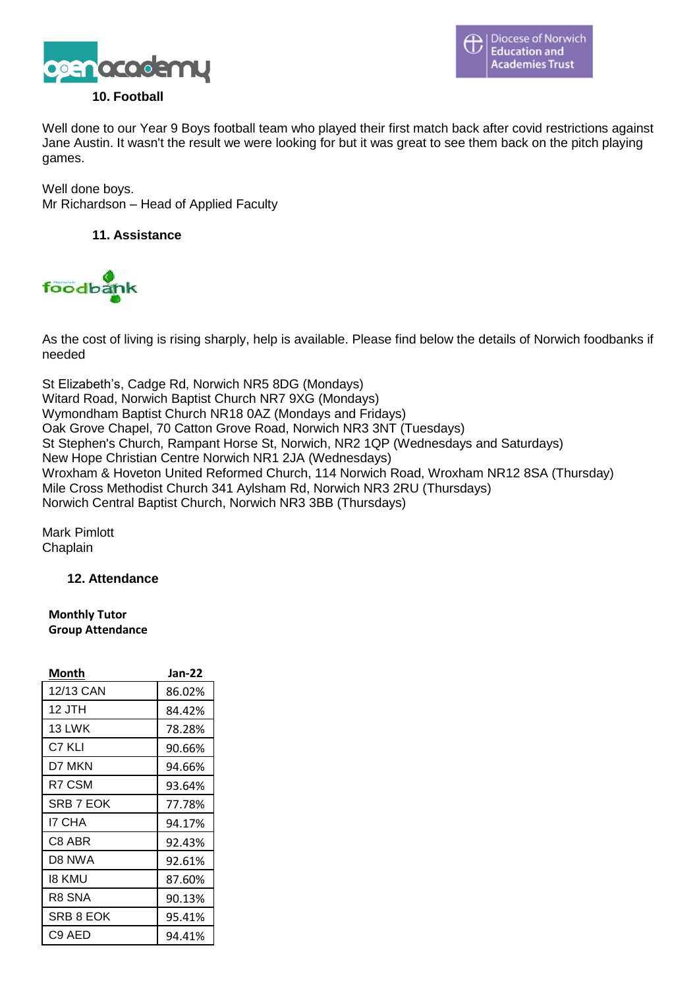

### **10. Football**

Well done to our Year 9 Boys football team who played their first match back after covid restrictions against Jane Austin. It wasn't the result we were looking for but it was great to see them back on the pitch playing games.

Well done boys. Mr Richardson – Head of Applied Faculty

**11. Assistance**



As the cost of living is rising sharply, help is available. Please find below the details of Norwich foodbanks if needed

St Elizabeth's, Cadge Rd, Norwich NR5 8DG (Mondays) Witard Road, Norwich Baptist Church NR7 9XG (Mondays) Wymondham Baptist Church NR18 0AZ (Mondays and Fridays) Oak Grove Chapel, 70 Catton Grove Road, Norwich NR3 3NT (Tuesdays) St Stephen's Church, Rampant Horse St, Norwich, NR2 1QP (Wednesdays and Saturdays) New Hope Christian Centre Norwich NR1 2JA (Wednesdays) Wroxham & Hoveton United Reformed Church, 114 Norwich Road, Wroxham NR12 8SA (Thursday) Mile Cross Methodist Church 341 Aylsham Rd, Norwich NR3 2RU (Thursdays) Norwich Central Baptist Church, Norwich NR3 3BB (Thursdays)

Mark Pimlott Chaplain

### **12. Attendance**

**Monthly Tutor Group Attendance**

| Month     | Jan-22 |
|-----------|--------|
| 12/13 CAN | 86.02% |
| 12 JTH    | 84.42% |
| 13 LWK    | 78.28% |
| C7 KLI    | 90.66% |
| D7 MKN    | 94.66% |
| R7 CSM    | 93.64% |
| SRB 7 EOK | 77.78% |
| I7 CHA    | 94.17% |
| C8 ABR    | 92.43% |
| D8 NWA    | 92.61% |
| 18 KMU    | 87.60% |
| R8 SNA    | 90.13% |
| SRB 8 EOK | 95.41% |
| C9 AED    | 94.41% |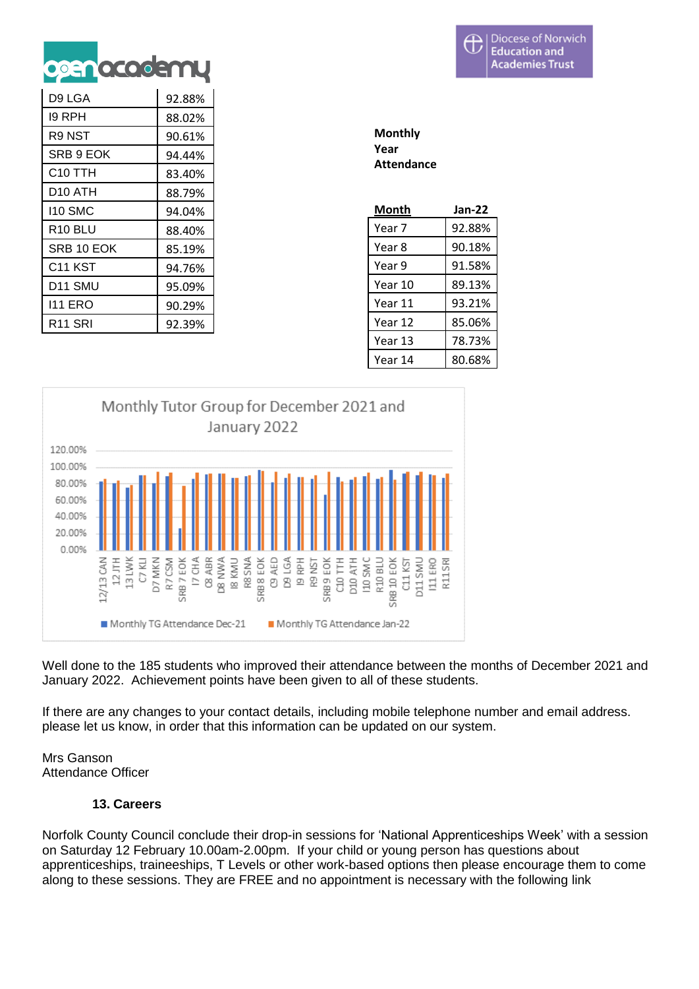

| D9 LGA     |        |
|------------|--------|
|            | 92.88% |
| 19 RPH     | 88.02% |
| R9 NST     | 90.61% |
| SRB 9 EOK  | 94.44% |
| C10 TTH    | 83.40% |
| D10 ATH    | 88.79% |
| 110 SMC    | 94.04% |
| R10 BLU    | 88.40% |
| SRB 10 EOK | 85.19% |
| C11 KST    | 94.76% |
| D11 SMU    | 95.09% |
| 111 ERO    | 90.29% |
| R11 SRI    | 92.39% |

| Monthly           |  |  |  |
|-------------------|--|--|--|
| Year              |  |  |  |
| <b>Attendance</b> |  |  |  |

| Month   | $Jan-22$ |
|---------|----------|
| Year 7  | 92.88%   |
| Year 8  | 90.18%   |
| Year 9  | 91.58%   |
| Year 10 | 89.13%   |
| Year 11 | 93.21%   |
| Year 12 | 85.06%   |
| Year 13 | 78.73%   |
| Year 14 | 80.68%   |



Well done to the 185 students who improved their attendance between the months of December 2021 and January 2022. Achievement points have been given to all of these students.

If there are any changes to your contact details, including mobile telephone number and email address. please let us know, in order that this information can be updated on our system.

Mrs Ganson Attendance Officer

# **13. Careers**

Norfolk County Council conclude their drop-in sessions for 'National Apprenticeships Week' with a session on Saturday 12 February 10.00am-2.00pm. If your child or young person has questions about apprenticeships, traineeships, T Levels or other work-based options then please encourage them to come along to these sessions. They are FREE and no appointment is necessary with the following link